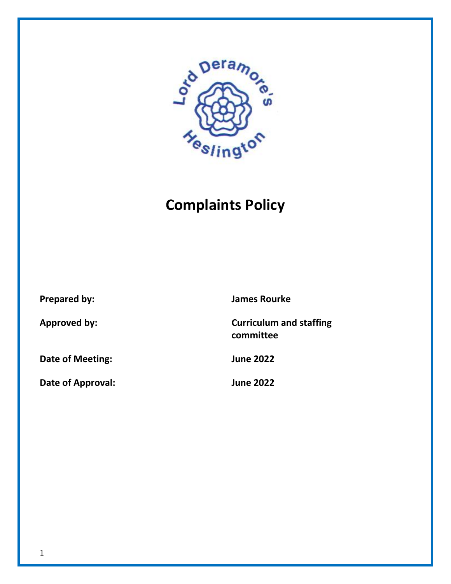

# **Complaints Policy**

**Date of Meeting: June 2022**

**Date of Approval: June 2022**

**Prepared by: James Rourke**

**Approved by: Curriculum and staffing committee**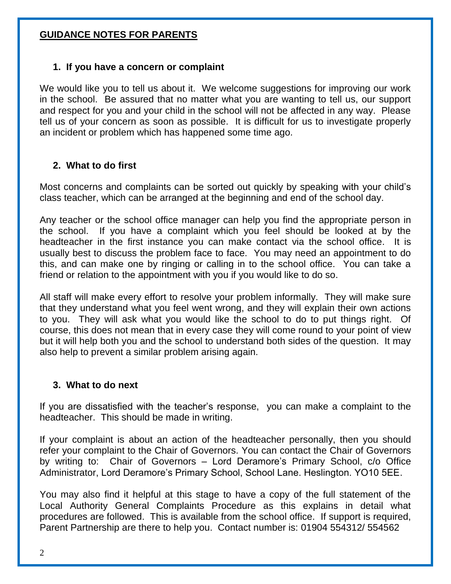## **GUIDANCE NOTES FOR PARENTS**

#### **1. If you have a concern or complaint**

We would like you to tell us about it. We welcome suggestions for improving our work in the school. Be assured that no matter what you are wanting to tell us, our support and respect for you and your child in the school will not be affected in any way. Please tell us of your concern as soon as possible. It is difficult for us to investigate properly an incident or problem which has happened some time ago.

### **2. What to do first**

Most concerns and complaints can be sorted out quickly by speaking with your child's class teacher, which can be arranged at the beginning and end of the school day.

Any teacher or the school office manager can help you find the appropriate person in the school. If you have a complaint which you feel should be looked at by the headteacher in the first instance you can make contact via the school office. It is usually best to discuss the problem face to face. You may need an appointment to do this, and can make one by ringing or calling in to the school office. You can take a friend or relation to the appointment with you if you would like to do so.

All staff will make every effort to resolve your problem informally. They will make sure that they understand what you feel went wrong, and they will explain their own actions to you. They will ask what you would like the school to do to put things right. Of course, this does not mean that in every case they will come round to your point of view but it will help both you and the school to understand both sides of the question. It may also help to prevent a similar problem arising again.

#### **3. What to do next**

If you are dissatisfied with the teacher's response, you can make a complaint to the headteacher. This should be made in writing.

If your complaint is about an action of the headteacher personally, then you should refer your complaint to the Chair of Governors. You can contact the Chair of Governors by writing to: Chair of Governors – Lord Deramore's Primary School, c/o Office Administrator, Lord Deramore's Primary School, School Lane. Heslington. YO10 5EE.

You may also find it helpful at this stage to have a copy of the full statement of the Local Authority General Complaints Procedure as this explains in detail what procedures are followed. This is available from the school office. If support is required, Parent Partnership are there to help you. Contact number is: 01904 554312/ 554562